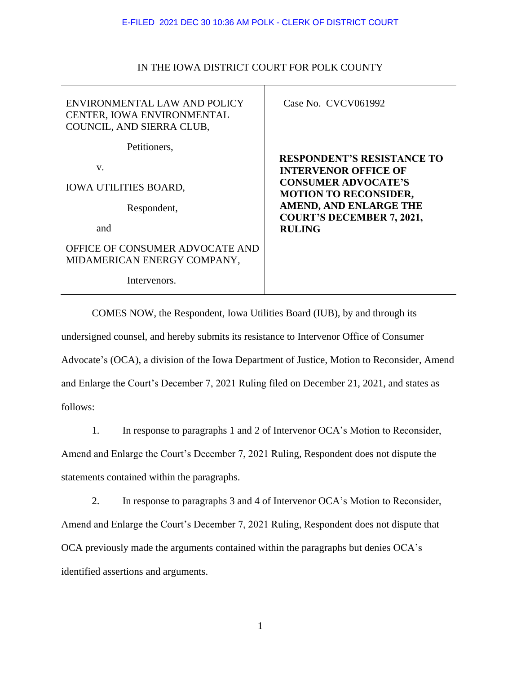#### E-FILED 2021 DEC 30 10:36 AM POLK - CLERK OF DISTRICT COURT

| ENVIRONMENTAL LAW AND POLICY<br>CENTER, IOWA ENVIRONMENTAL<br>COUNCIL, AND SIERRA CLUB, | Case No. CVCV061992                                        |
|-----------------------------------------------------------------------------------------|------------------------------------------------------------|
| Petitioners,                                                                            | <b>RESPONDENT'S RESISTANCE TO</b>                          |
| V.                                                                                      | <b>INTERVENOR OFFICE OF</b>                                |
| <b>IOWA UTILITIES BOARD,</b>                                                            | <b>CONSUMER ADVOCATE'S</b><br><b>MOTION TO RECONSIDER,</b> |
| Respondent,                                                                             | AMEND, AND ENLARGE THE<br><b>COURT'S DECEMBER 7, 2021,</b> |
| and                                                                                     | <b>RULING</b>                                              |
| OFFICE OF CONSUMER ADVOCATE AND<br>MIDAMERICAN ENERGY COMPANY,                          |                                                            |
| Intervenors.                                                                            |                                                            |
|                                                                                         |                                                            |

## IN THE IOWA DISTRICT COURT FOR POLK COUNTY

COMES NOW, the Respondent, Iowa Utilities Board (IUB), by and through its undersigned counsel, and hereby submits its resistance to Intervenor Office of Consumer Advocate's (OCA), a division of the Iowa Department of Justice, Motion to Reconsider, Amend and Enlarge the Court's December 7, 2021 Ruling filed on December 21, 2021, and states as follows:

1. In response to paragraphs 1 and 2 of Intervenor OCA's Motion to Reconsider, Amend and Enlarge the Court's December 7, 2021 Ruling, Respondent does not dispute the statements contained within the paragraphs.

2. In response to paragraphs 3 and 4 of Intervenor OCA's Motion to Reconsider, Amend and Enlarge the Court's December 7, 2021 Ruling, Respondent does not dispute that OCA previously made the arguments contained within the paragraphs but denies OCA's identified assertions and arguments.

1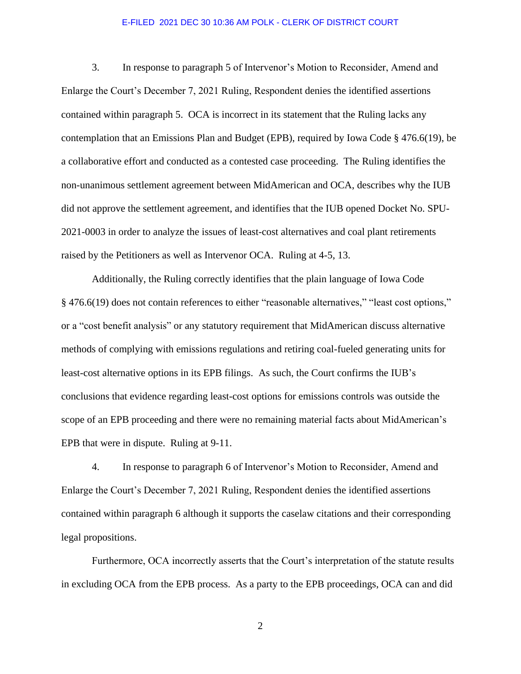#### E-FILED 2021 DEC 30 10:36 AM POLK - CLERK OF DISTRICT COURT

3. In response to paragraph 5 of Intervenor's Motion to Reconsider, Amend and Enlarge the Court's December 7, 2021 Ruling, Respondent denies the identified assertions contained within paragraph 5. OCA is incorrect in its statement that the Ruling lacks any contemplation that an Emissions Plan and Budget (EPB), required by Iowa Code § 476.6(19), be a collaborative effort and conducted as a contested case proceeding. The Ruling identifies the non-unanimous settlement agreement between MidAmerican and OCA, describes why the IUB did not approve the settlement agreement, and identifies that the IUB opened Docket No. SPU-2021-0003 in order to analyze the issues of least-cost alternatives and coal plant retirements raised by the Petitioners as well as Intervenor OCA. Ruling at 4-5, 13.

Additionally, the Ruling correctly identifies that the plain language of Iowa Code § 476.6(19) does not contain references to either "reasonable alternatives," "least cost options," or a "cost benefit analysis" or any statutory requirement that MidAmerican discuss alternative methods of complying with emissions regulations and retiring coal-fueled generating units for least-cost alternative options in its EPB filings. As such, the Court confirms the IUB's conclusions that evidence regarding least-cost options for emissions controls was outside the scope of an EPB proceeding and there were no remaining material facts about MidAmerican's EPB that were in dispute. Ruling at 9-11.

4. In response to paragraph 6 of Intervenor's Motion to Reconsider, Amend and Enlarge the Court's December 7, 2021 Ruling, Respondent denies the identified assertions contained within paragraph 6 although it supports the caselaw citations and their corresponding legal propositions.

Furthermore, OCA incorrectly asserts that the Court's interpretation of the statute results in excluding OCA from the EPB process. As a party to the EPB proceedings, OCA can and did

2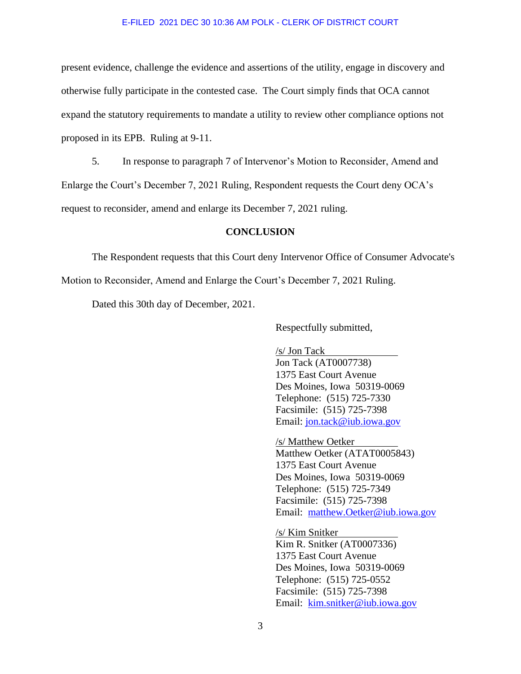#### E-FILED 2021 DEC 30 10:36 AM POLK - CLERK OF DISTRICT COURT

present evidence, challenge the evidence and assertions of the utility, engage in discovery and otherwise fully participate in the contested case. The Court simply finds that OCA cannot expand the statutory requirements to mandate a utility to review other compliance options not proposed in its EPB. Ruling at 9-11.

5. In response to paragraph 7 of Intervenor's Motion to Reconsider, Amend and

Enlarge the Court's December 7, 2021 Ruling, Respondent requests the Court deny OCA's

request to reconsider, amend and enlarge its December 7, 2021 ruling.

### **CONCLUSION**

The Respondent requests that this Court deny Intervenor Office of Consumer Advocate's

Motion to Reconsider, Amend and Enlarge the Court's December 7, 2021 Ruling.

Dated this 30th day of December, 2021.

Respectfully submitted,

/s/ Jon Tack

Jon Tack (AT0007738) 1375 East Court Avenue Des Moines, Iowa 50319-0069 Telephone: (515) 725-7330 Facsimile: (515) 725-7398 Email: [jon.tack@iub.iowa.gov](mailto:jon.tack@iub.iowa.gov)

/s/ Matthew Oetker Matthew Oetker (ATAT0005843) 1375 East Court Avenue Des Moines, Iowa 50319-0069

Telephone: (515) 725-7349 Facsimile: (515) 725-7398 Email: matthew.Oetker@iub.iowa.gov

/s/ Kim Snitker Kim R. Snitker (AT0007336) 1375 East Court Avenue Des Moines, Iowa 50319-0069 Telephone: (515) 725-0552 Facsimile: (515) 725-7398 Email: kim.snitker@iub.iowa.gov

3